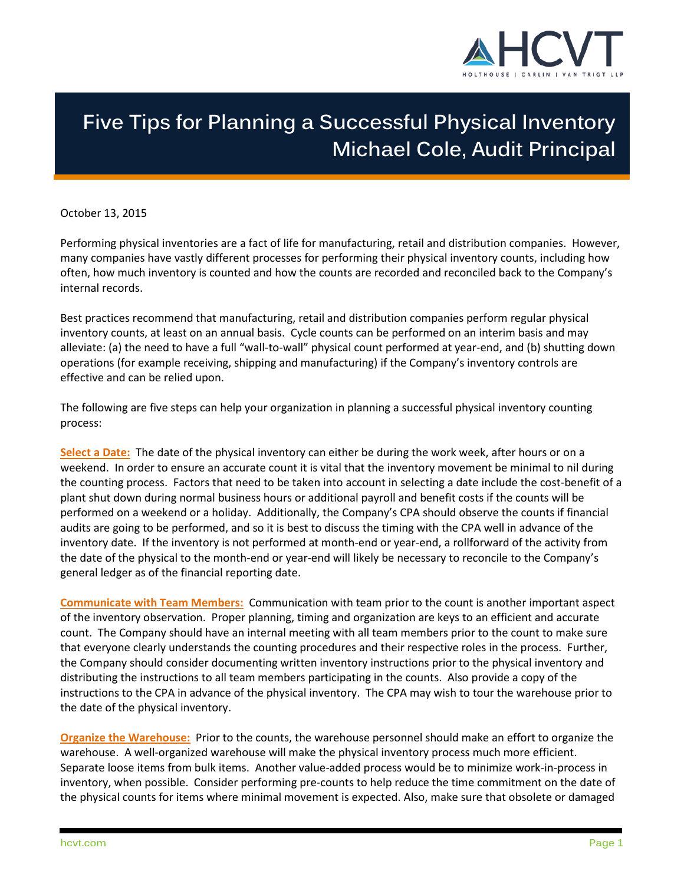

## **Five Tips for Planning a Successful Physical Inventory Michael Cole, Audit Principal**

October 13, 2015

Performing physical inventories are a fact of life for manufacturing, retail and distribution companies. However, many companies have vastly different processes for performing their physical inventory counts, including how often, how much inventory is counted and how the counts are recorded and reconciled back to the Company's internal records.

Best practices recommend that manufacturing, retail and distribution companies perform regular physical inventory counts, at least on an annual basis. Cycle counts can be performed on an interim basis and may alleviate: (a) the need to have a full "wall-to-wall" physical count performed at year-end, and (b) shutting down operations (for example receiving, shipping and manufacturing) if the Company's inventory controls are effective and can be relied upon.

The following are five steps can help your organization in planning a successful physical inventory counting process:

**Select a Date:** The date of the physical inventory can either be during the work week, after hours or on a weekend. In order to ensure an accurate count it is vital that the inventory movement be minimal to nil during the counting process. Factors that need to be taken into account in selecting a date include the cost-benefit of a plant shut down during normal business hours or additional payroll and benefit costs if the counts will be performed on a weekend or a holiday. Additionally, the Company's CPA should observe the counts if financial audits are going to be performed, and so it is best to discuss the timing with the CPA well in advance of the inventory date. If the inventory is not performed at month-end or year-end, a rollforward of the activity from the date of the physical to the month-end or year-end will likely be necessary to reconcile to the Company's general ledger as of the financial reporting date.

**Communicate with Team Members:** Communication with team prior to the count is another important aspect of the inventory observation. Proper planning, timing and organization are keys to an efficient and accurate count. The Company should have an internal meeting with all team members prior to the count to make sure that everyone clearly understands the counting procedures and their respective roles in the process. Further, the Company should consider documenting written inventory instructions prior to the physical inventory and distributing the instructions to all team members participating in the counts. Also provide a copy of the instructions to the CPA in advance of the physical inventory. The CPA may wish to tour the warehouse prior to the date of the physical inventory.

**Organize the Warehouse:** Prior to the counts, the warehouse personnel should make an effort to organize the warehouse. A well-organized warehouse will make the physical inventory process much more efficient. Separate loose items from bulk items. Another value-added process would be to minimize work-in-process in inventory, when possible. Consider performing pre-counts to help reduce the time commitment on the date of the physical counts for items where minimal movement is expected. Also, make sure that obsolete or damaged